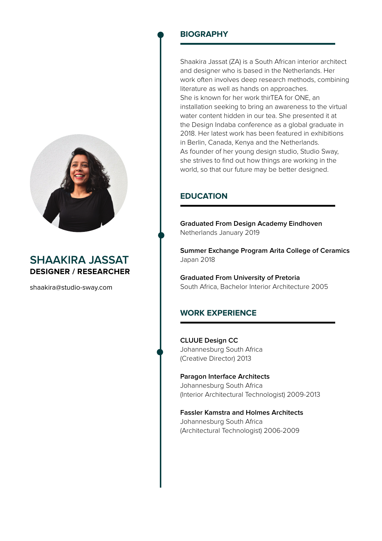

# **SHAAKIRA JASSAT DESIGNER / RESEARCHER**

shaakira@studio-sway.com

## **BIOGRAPHY**

Shaakira Jassat (ZA) is a South African interior architect and designer who is based in the Netherlands. Her work often involves deep research methods, combining literature as well as hands on approaches. She is known for her work thirTEA for ONE, an installation seeking to bring an awareness to the virtual water content hidden in our tea. She presented it at the Design Indaba conference as a global graduate in 2018. Her latest work has been featured in exhibitions in Berlin, Canada, Kenya and the Netherlands. As founder of her young design studio, Studio Sway, she strives to find out how things are working in the world, so that our future may be better designed.

# **EDUCATION**

**Graduated From Design Academy Eindhoven**  Netherlands January 2019

**Summer Exchange Program Arita College of Ceramics** Japan 2018

**Graduated From University of Pretoria** South Africa, Bachelor Interior Architecture 2005

## **WORK EXPERIENCE**

**CLUUE Design CC** Johannesburg South Africa (Creative Director) 2013

**Paragon Interface Architects** Johannesburg South Africa (Interior Architectural Technologist) 2009-2013

**Fassler Kamstra and Holmes Architects** Johannesburg South Africa (Architectural Technologist) 2006-2009